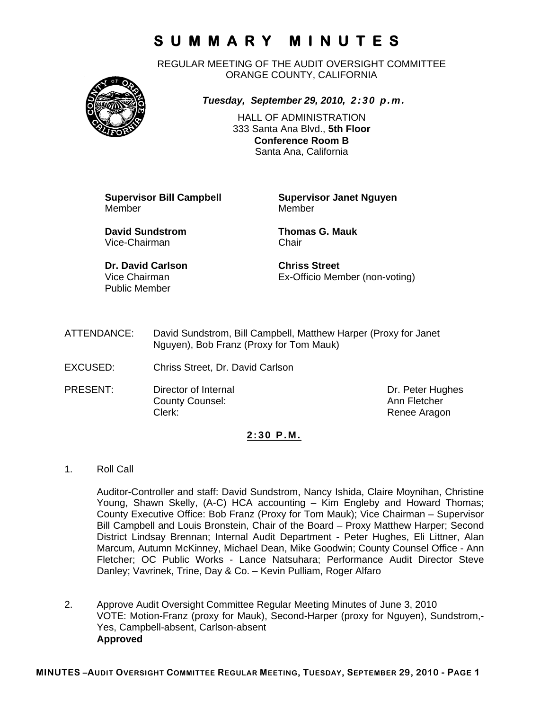REGULAR MEETING OF THE AUDIT OVERSIGHT COMMITTEE ORANGE COUNTY, CALIFORNIA



*Tuesday, September 29, 2010, 2:30 p.m.*

HALL OF ADMINISTRATION 333 Santa Ana Blvd., **5th Floor Conference Room B**  Santa Ana, California

Member Member

**Supervisor Bill Campbell Supervisor Janet Nguyen**

**David Sundstrom Thomas G. Mauk**  Vice-Chairman Chair

**Dr. David Carlson Chriss Street**  Public Member

Vice Chairman Ex-Officio Member (non-voting)

- ATTENDANCE: David Sundstrom, Bill Campbell, Matthew Harper (Proxy for Janet Nguyen), Bob Franz (Proxy for Tom Mauk)
- EXCUSED: Chriss Street, Dr. David Carlson
- PRESENT: Director of Internal Dr. Peter Hughes **County Counsel:** Counsel: Ann Fletcher Clerk: Clerk: Clerk: Clerk: Clerk: Clerk: Clerk: Renee Aragon

#### **2:30 P.M.**

1. Roll Call

Auditor-Controller and staff: David Sundstrom, Nancy Ishida, Claire Moynihan, Christine Young, Shawn Skelly, (A-C) HCA accounting – Kim Engleby and Howard Thomas; County Executive Office: Bob Franz (Proxy for Tom Mauk); Vice Chairman – Supervisor Bill Campbell and Louis Bronstein, Chair of the Board – Proxy Matthew Harper; Second District Lindsay Brennan; Internal Audit Department - Peter Hughes, Eli Littner, Alan Marcum, Autumn McKinney, Michael Dean, Mike Goodwin; County Counsel Office - Ann Fletcher; OC Public Works - Lance Natsuhara; Performance Audit Director Steve Danley; Vavrinek, Trine, Day & Co. – Kevin Pulliam, Roger Alfaro

2. Approve Audit Oversight Committee Regular Meeting Minutes of June 3, 2010 VOTE: Motion-Franz (proxy for Mauk), Second-Harper (proxy for Nguyen), Sundstrom,- Yes, Campbell-absent, Carlson-absent **Approved**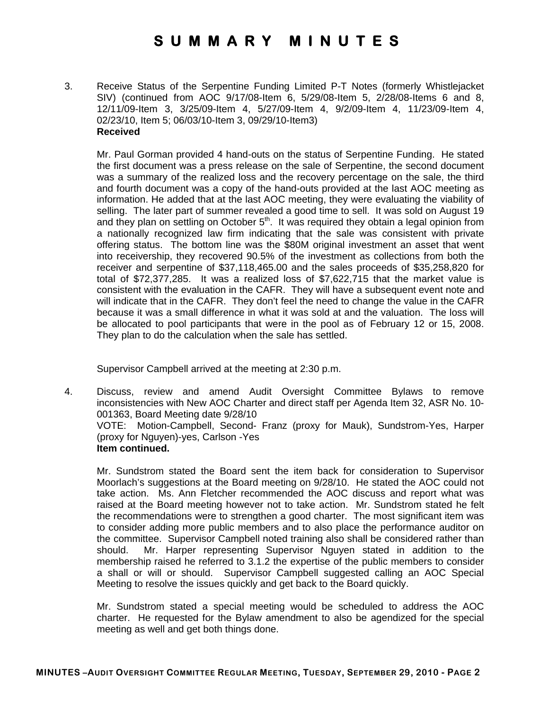3. Receive Status of the Serpentine Funding Limited P-T Notes (formerly Whistlejacket SIV) (continued from AOC 9/17/08-Item 6, 5/29/08-Item 5, 2/28/08-Items 6 and 8, 12/11/09-Item 3, 3/25/09-Item 4, 5/27/09-Item 4, 9/2/09-Item 4, 11/23/09-Item 4, 02/23/10, Item 5; 06/03/10-Item 3, 09/29/10-Item3) **Received** 

Mr. Paul Gorman provided 4 hand-outs on the status of Serpentine Funding. He stated the first document was a press release on the sale of Serpentine, the second document was a summary of the realized loss and the recovery percentage on the sale, the third and fourth document was a copy of the hand-outs provided at the last AOC meeting as information. He added that at the last AOC meeting, they were evaluating the viability of selling. The later part of summer revealed a good time to sell. It was sold on August 19 and they plan on settling on October  $5<sup>th</sup>$ . It was required they obtain a legal opinion from a nationally recognized law firm indicating that the sale was consistent with private offering status. The bottom line was the \$80M original investment an asset that went into receivership, they recovered 90.5% of the investment as collections from both the receiver and serpentine of \$37,118,465.00 and the sales proceeds of \$35,258,820 for total of \$72,377,285. It was a realized loss of \$7,622,715 that the market value is consistent with the evaluation in the CAFR. They will have a subsequent event note and will indicate that in the CAFR. They don't feel the need to change the value in the CAFR because it was a small difference in what it was sold at and the valuation. The loss will be allocated to pool participants that were in the pool as of February 12 or 15, 2008. They plan to do the calculation when the sale has settled.

Supervisor Campbell arrived at the meeting at 2:30 p.m.

4. Discuss, review and amend Audit Oversight Committee Bylaws to remove inconsistencies with New AOC Charter and direct staff per Agenda Item 32, ASR No. 10- 001363, Board Meeting date 9/28/10 VOTE: Motion-Campbell, Second- Franz (proxy for Mauk), Sundstrom-Yes, Harper (proxy for Nguyen)-yes, Carlson -Yes **Item continued.** 

Mr. Sundstrom stated the Board sent the item back for consideration to Supervisor Moorlach's suggestions at the Board meeting on 9/28/10. He stated the AOC could not take action. Ms. Ann Fletcher recommended the AOC discuss and report what was raised at the Board meeting however not to take action. Mr. Sundstrom stated he felt the recommendations were to strengthen a good charter. The most significant item was to consider adding more public members and to also place the performance auditor on the committee. Supervisor Campbell noted training also shall be considered rather than should. Mr. Harper representing Supervisor Nguyen stated in addition to the membership raised he referred to 3.1.2 the expertise of the public members to consider a shall or will or should. Supervisor Campbell suggested calling an AOC Special Meeting to resolve the issues quickly and get back to the Board quickly.

Mr. Sundstrom stated a special meeting would be scheduled to address the AOC charter. He requested for the Bylaw amendment to also be agendized for the special meeting as well and get both things done.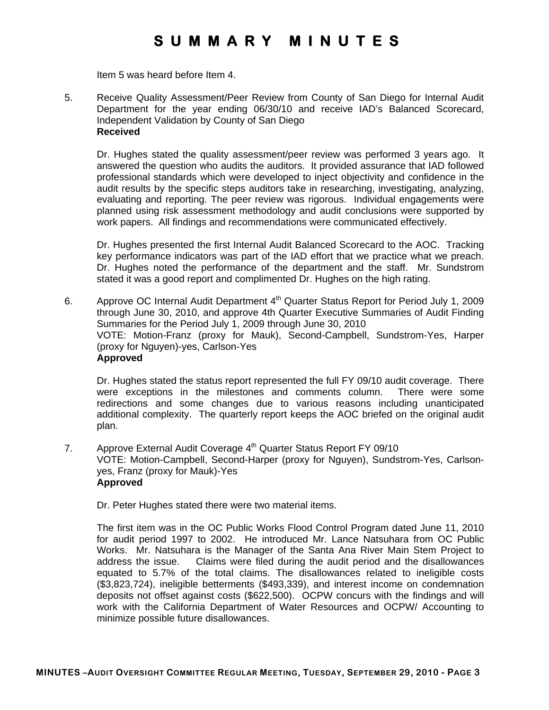Item 5 was heard before Item 4.

5. Receive Quality Assessment/Peer Review from County of San Diego for Internal Audit Department for the year ending 06/30/10 and receive IAD's Balanced Scorecard, Independent Validation by County of San Diego **Received** 

 Dr. Hughes stated the quality assessment/peer review was performed 3 years ago. It answered the question who audits the auditors. It provided assurance that IAD followed professional standards which were developed to inject objectivity and confidence in the audit results by the specific steps auditors take in researching, investigating, analyzing, evaluating and reporting. The peer review was rigorous. Individual engagements were planned using risk assessment methodology and audit conclusions were supported by work papers. All findings and recommendations were communicated effectively.

Dr. Hughes presented the first Internal Audit Balanced Scorecard to the AOC. Tracking key performance indicators was part of the IAD effort that we practice what we preach. Dr. Hughes noted the performance of the department and the staff. Mr. Sundstrom stated it was a good report and complimented Dr. Hughes on the high rating.

6. Approve OC Internal Audit Department  $4<sup>th</sup>$  Quarter Status Report for Period July 1, 2009 through June 30, 2010, and approve 4th Quarter Executive Summaries of Audit Finding Summaries for the Period July 1, 2009 through June 30, 2010 VOTE: Motion-Franz (proxy for Mauk), Second-Campbell, Sundstrom-Yes, Harper (proxy for Nguyen)-yes, Carlson-Yes **Approved** 

Dr. Hughes stated the status report represented the full FY 09/10 audit coverage. There were exceptions in the milestones and comments column. There were some redirections and some changes due to various reasons including unanticipated additional complexity. The quarterly report keeps the AOC briefed on the original audit plan.

7. Approve External Audit Coverage 4<sup>th</sup> Quarter Status Report FY 09/10 VOTE: Motion-Campbell, Second-Harper (proxy for Nguyen), Sundstrom-Yes, Carlsonyes, Franz (proxy for Mauk)-Yes **Approved** 

Dr. Peter Hughes stated there were two material items.

The first item was in the OC Public Works Flood Control Program dated June 11, 2010 for audit period 1997 to 2002. He introduced Mr. Lance Natsuhara from OC Public Works. Mr. Natsuhara is the Manager of the Santa Ana River Main Stem Project to address the issue. Claims were filed during the audit period and the disallowances equated to 5.7% of the total claims. The disallowances related to ineligible costs (\$3,823,724), ineligible betterments (\$493,339), and interest income on condemnation deposits not offset against costs (\$622,500). OCPW concurs with the findings and will work with the California Department of Water Resources and OCPW/ Accounting to minimize possible future disallowances.